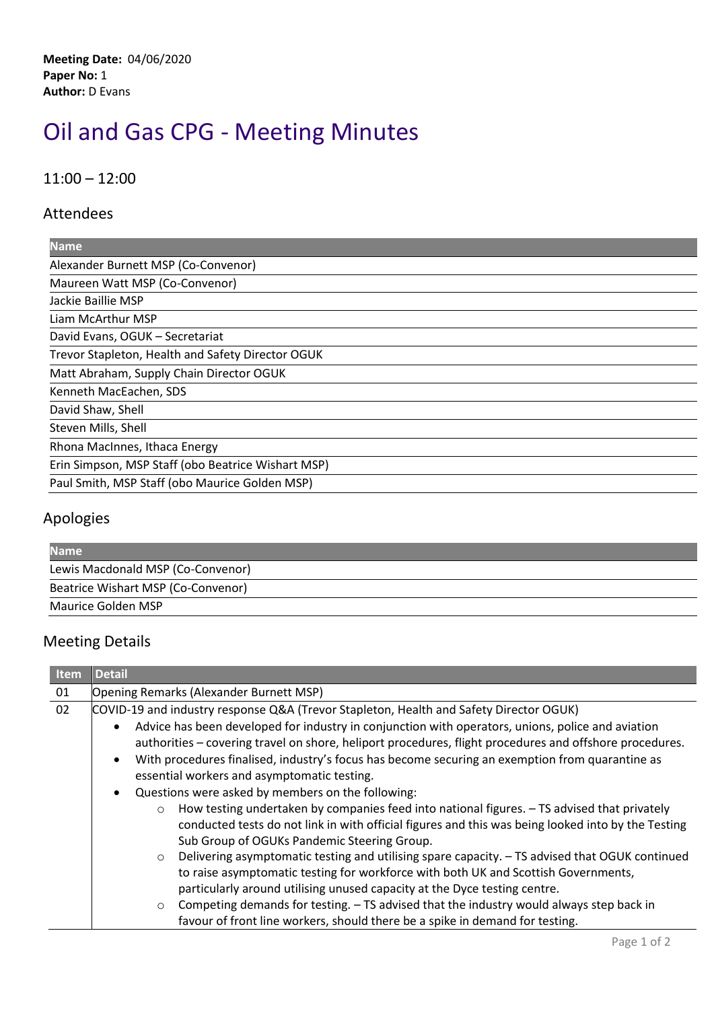**Meeting Date:** 04/06/2020 **Paper No:** 1 **Author:** D Evans

## Oil and Gas CPG - Meeting Minutes

11:00 – 12:00

## Attendees

| <b>Name</b>                                        |
|----------------------------------------------------|
| Alexander Burnett MSP (Co-Convenor)                |
| Maureen Watt MSP (Co-Convenor)                     |
| Jackie Baillie MSP                                 |
| Liam McArthur MSP                                  |
| David Evans, OGUK - Secretariat                    |
| Trevor Stapleton, Health and Safety Director OGUK  |
| Matt Abraham, Supply Chain Director OGUK           |
| Kenneth MacEachen, SDS                             |
| David Shaw, Shell                                  |
| Steven Mills, Shell                                |
| Rhona MacInnes, Ithaca Energy                      |
| Erin Simpson, MSP Staff (obo Beatrice Wishart MSP) |
| Paul Smith, MSP Staff (obo Maurice Golden MSP)     |

## Apologies

| <b>Name</b>                        |  |
|------------------------------------|--|
| Lewis Macdonald MSP (Co-Convenor)  |  |
| Beatrice Wishart MSP (Co-Convenor) |  |
| Maurice Golden MSP                 |  |

## Meeting Details

| Item | <b>Detail</b>                                                                                                                                                                                                                                                                                                                                                                                                                                              |
|------|------------------------------------------------------------------------------------------------------------------------------------------------------------------------------------------------------------------------------------------------------------------------------------------------------------------------------------------------------------------------------------------------------------------------------------------------------------|
| 01   | Opening Remarks (Alexander Burnett MSP)                                                                                                                                                                                                                                                                                                                                                                                                                    |
| 02   | COVID-19 and industry response Q&A (Trevor Stapleton, Health and Safety Director OGUK)                                                                                                                                                                                                                                                                                                                                                                     |
|      | Advice has been developed for industry in conjunction with operators, unions, police and aviation<br>$\bullet$<br>authorities – covering travel on shore, heliport procedures, flight procedures and offshore procedures.<br>With procedures finalised, industry's focus has become securing an exemption from quarantine as<br>$\bullet$<br>essential workers and asymptomatic testing.<br>Questions were asked by members on the following:<br>$\bullet$ |
|      | How testing undertaken by companies feed into national figures. - TS advised that privately<br>$\circ$                                                                                                                                                                                                                                                                                                                                                     |
|      | conducted tests do not link in with official figures and this was being looked into by the Testing<br>Sub Group of OGUKs Pandemic Steering Group.                                                                                                                                                                                                                                                                                                          |
|      | Delivering asymptomatic testing and utilising spare capacity. - TS advised that OGUK continued<br>$\circ$<br>to raise asymptomatic testing for workforce with both UK and Scottish Governments,<br>particularly around utilising unused capacity at the Dyce testing centre.                                                                                                                                                                               |
|      | Competing demands for testing. - TS advised that the industry would always step back in<br>$\circ$<br>favour of front line workers, should there be a spike in demand for testing.                                                                                                                                                                                                                                                                         |